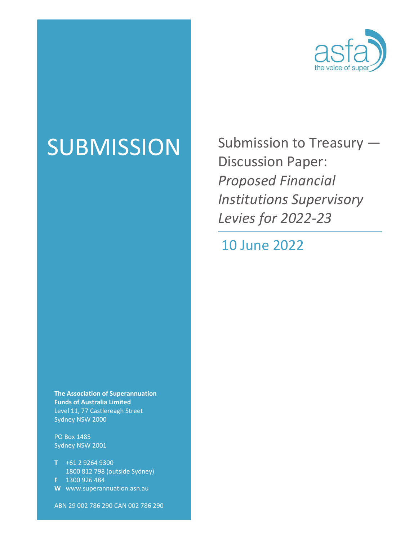

SUBMISSION Submission to Treasury — Discussion Paper: *Proposed Financial Institutions Supervisory Levies for 2022-23*

10 June 2022

**The Association of Superannuation Funds of Australia Limited** Level 11, 77 Castlereagh Street Sydney NSW 2000

PO Box 1485 Sydney NSW 2001

- **T** +61 2 9264 9300 1800 812 798 (outside Sydney) **F** 1300 926 484
- **W** www.superannuation.asn.au

ABN 29 002 786 290 CAN 002 786 290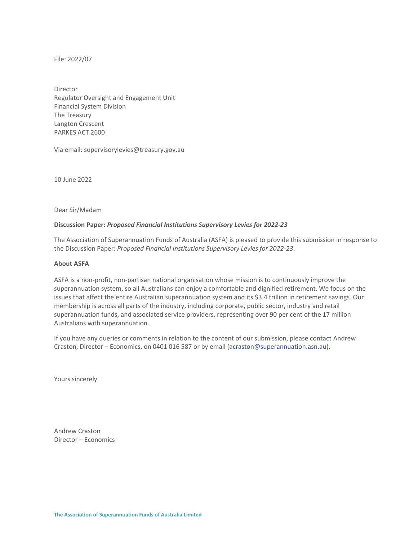File: 2022/07

Director Regulator Oversight and Engagement Unit Financial System Division The Treasury Langton Crescent PARKES ACT 2600

Via email: supervisorylevies@treasury.gov.au

10 June 2022

Dear Sir/Madam

### **Discussion Paper:** *Proposed Financial Institutions Supervisory Levies for 2022-23*

The Association of Superannuation Funds of Australia (ASFA) is pleased to provide this submission in response to the Discussion Paper: *Proposed Financial Institutions Supervisory Levies for 2022-23*.

### **About ASFA**

ASFA is a non-profit, non-partisan national organisation whose mission is to continuously improve the superannuation system, so all Australians can enjoy a comfortable and dignified retirement. We focus on the issues that affect the entire Australian superannuation system and its \$3.4 trillion in retirement savings. Our membership is across all parts of the industry, including corporate, public sector, industry and retail superannuation funds, and associated service providers, representing over 90 per cent of the 17 million Australians with superannuation.

If you have any queries or comments in relation to the content of our submission, please contact Andrew Craston, Director – Economics, on 0401 016 587 or by email (acraston@superannuation.asn.au).

Yours sincerely

Andrew Craston Director – Economics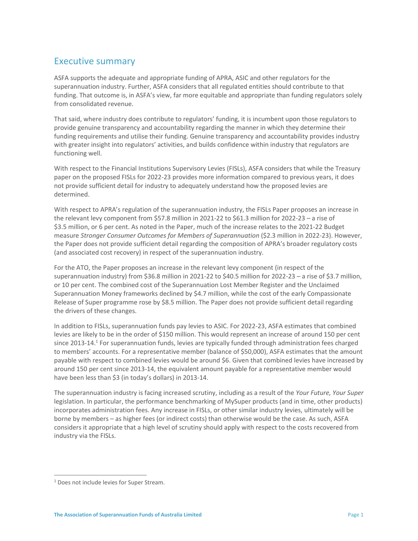## Executive summary

ASFA supports the adequate and appropriate funding of APRA, ASIC and other regulators for the superannuation industry. Further, ASFA considers that all regulated entities should contribute to that funding. That outcome is, in ASFA's view, far more equitable and appropriate than funding regulators solely from consolidated revenue.

That said, where industry does contribute to regulators' funding, it is incumbent upon those regulators to provide genuine transparency and accountability regarding the manner in which they determine their funding requirements and utilise their funding. Genuine transparency and accountability provides industry with greater insight into regulators' activities, and builds confidence within industry that regulators are functioning well.

With respect to the Financial Institutions Supervisory Levies (FISLs), ASFA considers that while the Treasury paper on the proposed FISLs for 2022-23 provides more information compared to previous years, it does not provide sufficient detail for industry to adequately understand how the proposed levies are determined.

With respect to APRA's regulation of the superannuation industry, the FISLs Paper proposes an increase in the relevant levy component from \$57.8 million in 2021-22 to \$61.3 million for 2022-23 – a rise of \$3.5 million, or 6 per cent. As noted in the Paper, much of the increase relates to the 2021-22 Budget measure *Stronger Consumer Outcomes for Members of Superannuation* (\$2.3 million in 2022-23). However, the Paper does not provide sufficient detail regarding the composition of APRA's broader regulatory costs (and associated cost recovery) in respect of the superannuation industry.

For the ATO, the Paper proposes an increase in the relevant levy component (in respect of the superannuation industry) from \$36.8 million in 2021-22 to \$40.5 million for 2022-23 – a rise of \$3.7 million, or 10 per cent. The combined cost of the Superannuation Lost Member Register and the Unclaimed Superannuation Money frameworks declined by \$4.7 million, while the cost of the early Compassionate Release of Super programme rose by \$8.5 million. The Paper does not provide sufficient detail regarding the drivers of these changes.

In addition to FISLs, superannuation funds pay levies to ASIC. For 2022-23, ASFA estimates that combined levies are likely to be in the order of \$150 million. This would represent an increase of around 150 per cent since 2013-14.<sup>1</sup> For superannuation funds, levies are typically funded through administration fees charged to members' accounts. For a representative member (balance of \$50,000), ASFA estimates that the amount payable with respect to combined levies would be around \$6. Given that combined levies have increased by around 150 per cent since 2013-14, the equivalent amount payable for a representative member would have been less than \$3 (in today's dollars) in 2013-14.

The superannuation industry is facing increased scrutiny, including as a result of the *Your Future, Your Super* legislation. In particular, the performance benchmarking of MySuper products (and in time, other products) incorporates administration fees. Any increase in FISLs, or other similar industry levies, ultimately will be borne by members – as higher fees (or indirect costs) than otherwise would be the case. As such, ASFA considers it appropriate that a high level of scrutiny should apply with respect to the costs recovered from industry via the FISLs.

<sup>1</sup> Does not include levies for Super Stream.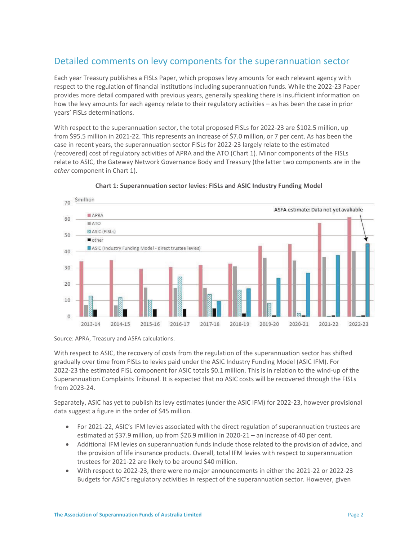# Detailed comments on levy components for the superannuation sector

Each year Treasury publishes a FISLs Paper, which proposes levy amounts for each relevant agency with respect to the regulation of financial institutions including superannuation funds. While the 2022-23 Paper provides more detail compared with previous years, generally speaking there is insufficient information on how the levy amounts for each agency relate to their regulatory activities – as has been the case in prior years' FISLs determinations.

With respect to the superannuation sector, the total proposed FISLs for 2022-23 are \$102.5 million, up from \$95.5 million in 2021-22. This represents an increase of \$7.0 million, or 7 per cent. As has been the case in recent years, the superannuation sector FISLs for 2022-23 largely relate to the estimated (recovered) cost of regulatory activities of APRA and the ATO (Chart 1). Minor components of the FISLs relate to ASIC, the Gateway Network Governance Body and Treasury (the latter two components are in the *other* component in Chart 1).



### **Chart 1: Superannuation sector levies: FISLs and ASIC Industry Funding Model**

Source: APRA, Treasury and ASFA calculations.

With respect to ASIC, the recovery of costs from the regulation of the superannuation sector has shifted gradually over time from FISLs to levies paid under the ASIC Industry Funding Model (ASIC IFM). For 2022-23 the estimated FISL component for ASIC totals \$0.1 million. This is in relation to the wind-up of the Superannuation Complaints Tribunal. It is expected that no ASIC costs will be recovered through the FISLs from 2023-24.

Separately, ASIC has yet to publish its levy estimates (under the ASIC IFM) for 2022-23, however provisional data suggest a figure in the order of \$45 million.

- For 2021-22, ASIC's IFM levies associated with the direct regulation of superannuation trustees are estimated at \$37.9 million, up from \$26.9 million in 2020-21 – an increase of 40 per cent.
- Additional IFM levies on superannuation funds include those related to the provision of advice, and the provision of life insurance products. Overall, total IFM levies with respect to superannuation trustees for 2021-22 are likely to be around \$40 million.
- x With respect to 2022-23, there were no major announcements in either the 2021-22 or 2022-23 Budgets for ASIC's regulatory activities in respect of the superannuation sector. However, given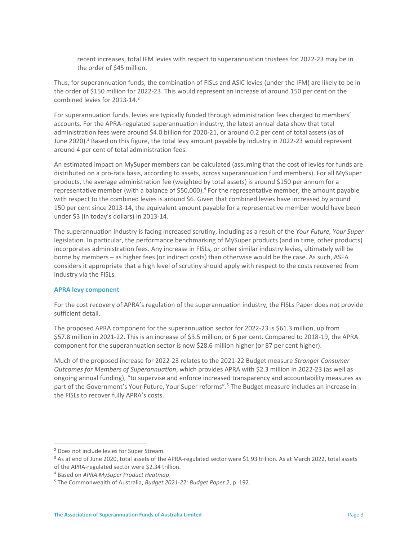recent increases, total IFM levies with respect to superannuation trustees for 2022-23 may be in the order of \$45 million.

Thus, for superannuation funds, the combination of FISLs and ASIC levies (under the IFM) are likely to be in the order of \$150 million for 2022-23. This would represent an increase of around 150 per cent on the combined levies for 2013-14.<sup>2</sup>

For superannuation funds, levies are typically funded through administration fees charged to members' accounts. For the APRA-regulated superannuation industry, the latest annual data show that total administration fees were around \$4.0 billion for 2020-21, or around 0.2 per cent of total assets (as of June 2020).<sup>3</sup> Based on this figure, the total levy amount payable by industry in 2022-23 would represent around 4 per cent of total administration fees.

An estimated impact on MySuper members can be calculated (assuming that the cost of levies for funds are distributed on a pro-rata basis, according to assets, across superannuation fund members). For all MySuper products, the average administration fee (weighted by total assets) is around \$150 per annum for a representative member (with a balance of \$50,000).<sup>4</sup> For the representative member, the amount payable with respect to the combined levies is around \$6. Given that combined levies have increased by around 150 per cent since 2013-14, the equivalent amount payable for a representative member would have been under \$3 (in today's dollars) in 2013-14.

The superannuation industry is facing increased scrutiny, including as a result of the *Your Future, Your Super* legislation. In particular, the performance benchmarking of MySuper products (and in time, other products) incorporates administration fees. Any increase in FISLs, or other similar industry levies, ultimately will be borne by members – as higher fees (or indirect costs) than otherwise would be the case. As such, ASFA considers it appropriate that a high level of scrutiny should apply with respect to the costs recovered from industry via the FISLs.

### **APRA levy component**

For the cost recovery of APRA's regulation of the superannuation industry, the FISLs Paper does not provide sufficient detail.

The proposed APRA component for the superannuation sector for 2022-23 is \$61.3 million, up from \$57.8 million in 2021-22. This is an increase of \$3.5 million, or 6 per cent. Compared to 2018-19, the APRA component for the superannuation sector is now \$28.6 million higher (or 87 per cent higher).

Much of the proposed increase for 2022-23 relates to the 2021-22 Budget measure *Stronger Consumer Outcomes for Members of Superannuation*, which provides APRA with \$2.3 million in 2022-23 (as well as ongoing annual funding), "to supervise and enforce increased transparency and accountability measures as part of the Government's Your Future, Your Super reforms".<sup>5</sup> The Budget measure includes an increase in the FISLs to recover fully APRA's costs.

<sup>&</sup>lt;sup>2</sup> Does not include levies for Super Stream.

<sup>&</sup>lt;sup>3</sup> As at end of June 2020, total assets of the APRA-regulated sector were \$1.93 trillion. As at March 2022, total assets of the APRA-regulated sector were \$2.34 trillion.

<sup>&</sup>lt;sup>4</sup> Based on *APRA MySuper Product Heatmap.*<br><sup>5</sup> The Commonwealth of Australia, *Budget* 20

The Commonwealth of Australia, *Budget 2021-22: Budget Paper 2*, p. 192.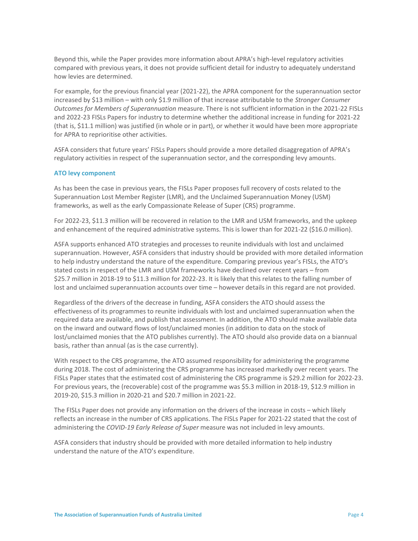Beyond this, while the Paper provides more information about APRA's high-level regulatory activities compared with previous years, it does not provide sufficient detail for industry to adequately understand how levies are determined.

For example, for the previous financial year (2021-22), the APRA component for the superannuation sector increased by \$13 million – with only \$1.9 million of that increase attributable to the *Stronger Consumer Outcomes for Members of Superannuation* measure. There is not sufficient information in the 2021-22 FISLs and 2022-23 FISLs Papers for industry to determine whether the additional increase in funding for 2021-22 (that is, \$11.1 million) was justified (in whole or in part), or whether it would have been more appropriate for APRA to reprioritise other activities.

ASFA considers that future years' FISLs Papers should provide a more detailed disaggregation of APRA's regulatory activities in respect of the superannuation sector, and the corresponding levy amounts.

### **ATO levy component**

As has been the case in previous years, the FISLs Paper proposes full recovery of costs related to the Superannuation Lost Member Register (LMR), and the Unclaimed Superannuation Money (USM) frameworks, as well as the early Compassionate Release of Super (CRS) programme.

For 2022-23, \$11.3 million will be recovered in relation to the LMR and USM frameworks, and the upkeep and enhancement of the required administrative systems. This is lower than for 2021-22 (\$16.0 million).

ASFA supports enhanced ATO strategies and processes to reunite individuals with lost and unclaimed superannuation. However, ASFA considers that industry should be provided with more detailed information to help industry understand the nature of the expenditure. Comparing previous year's FISLs, the ATO's stated costs in respect of the LMR and USM frameworks have declined over recent years – from \$25.7 million in 2018-19 to \$11.3 million for 2022-23. It is likely that this relates to the falling number of lost and unclaimed superannuation accounts over time – however details in this regard are not provided.

Regardless of the drivers of the decrease in funding, ASFA considers the ATO should assess the effectiveness of its programmes to reunite individuals with lost and unclaimed superannuation when the required data are available, and publish that assessment. In addition, the ATO should make available data on the inward and outward flows of lost/unclaimed monies (in addition to data on the stock of lost/unclaimed monies that the ATO publishes currently). The ATO should also provide data on a biannual basis, rather than annual (as is the case currently).

With respect to the CRS programme, the ATO assumed responsibility for administering the programme during 2018. The cost of administering the CRS programme has increased markedly over recent years. The FISLs Paper states that the estimated cost of administering the CRS programme is \$29.2 million for 2022-23. For previous years, the (recoverable) cost of the programme was \$5.3 million in 2018-19, \$12.9 million in 2019-20, \$15.3 million in 2020-21 and \$20.7 million in 2021-22.

The FISLs Paper does not provide any information on the drivers of the increase in costs – which likely reflects an increase in the number of CRS applications. The FISLs Paper for 2021-22 stated that the cost of administering the *COVID-19 Early Release of Super* measure was not included in levy amounts.

ASFA considers that industry should be provided with more detailed information to help industry understand the nature of the ATO's expenditure.